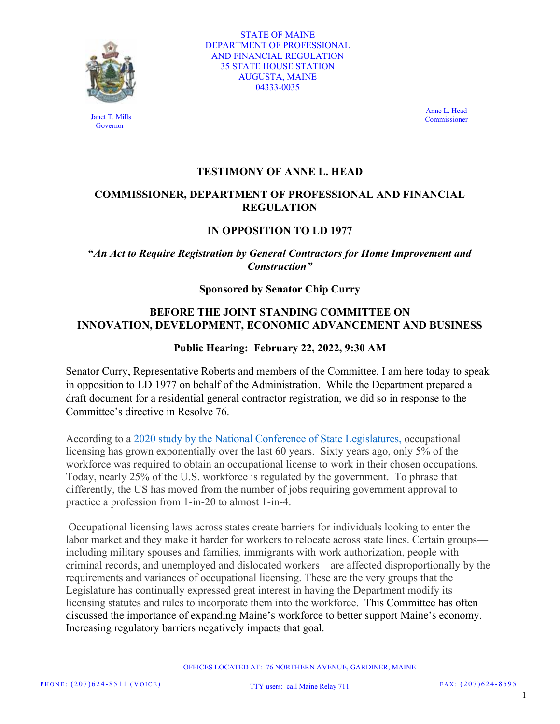

STATE OF MAINE DEPARTMENT OF PROFESSIONAL AND FINANCIAL REGULATION 35 STATE HOUSE STATION AUGUSTA, MAINE 04333-0035

Janet T. Mills Governor

Anne L. Head Commissioner

# **TESTIMONY OF ANNE L. HEAD**

## **COMMISSIONER, DEPARTMENT OF PROFESSIONAL AND FINANCIAL REGULATION**

### **IN OPPOSITION TO LD 1977**

**"***An Act to Require Registration by General Contractors for Home Improvement and Construction"* 

### **Sponsored by Senator Chip Curry**

# **BEFORE THE JOINT STANDING COMMITTEE ON INNOVATION, DEVELOPMENT, ECONOMIC ADVANCEMENT AND BUSINESS**

### **Public Hearing: February 22, 2022, 9:30 AM**

Senator Curry, Representative Roberts and members of the Committee, I am here today to speak in opposition to LD 1977 on behalf of the Administration. While the Department prepared a draft document for a residential general contractor registration, we did so in response to the Committee's directive in Resolve 76.

According to a [2020 study by the National Conference of State Legislatures,](https://www.ncsl.org/research/labor-and-employment/occupational-licensing-statute-database.aspx) occupational licensing has grown exponentially over the last 60 years. Sixty years ago, only 5% of the workforce was required to obtain an occupational license to work in their chosen occupations. Today, nearly 25% of the U.S. workforce is regulated by the government. To phrase that differently, the US has moved from the number of jobs requiring government approval to practice a profession from 1-in-20 to almost 1-in-4.

 Occupational licensing laws across states create barriers for individuals looking to enter the labor market and they make it harder for workers to relocate across state lines. Certain groups including military spouses and families, immigrants with work authorization, people with criminal records, and unemployed and dislocated workers—are affected disproportionally by the requirements and variances of occupational licensing. These are the very groups that the Legislature has continually expressed great interest in having the Department modify its licensing statutes and rules to incorporate them into the workforce. This Committee has often discussed the importance of expanding Maine's workforce to better support Maine's economy. Increasing regulatory barriers negatively impacts that goal.

OFFICES LOCATED AT: 76 NORTHERN AVENUE, GARDINER, MAINE